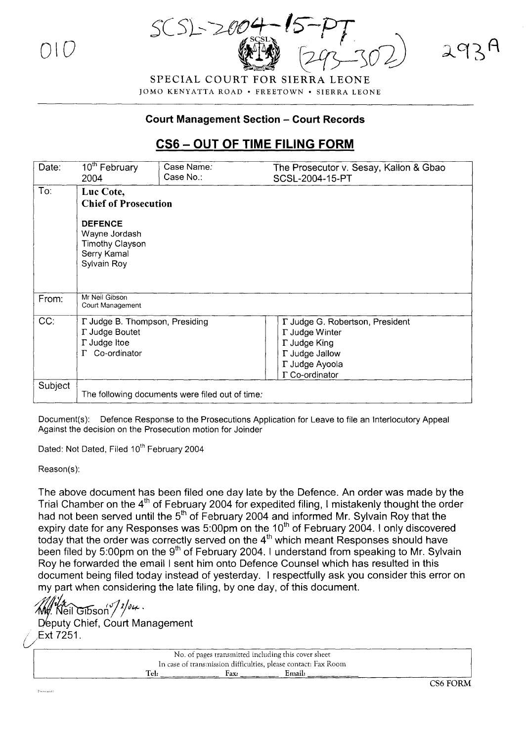010 SCSL-200<del>4-</del>15-PT

 $293A$ 

SPECIAL COURT FOR SIERRA LEONE JOMO KENYATTA ROAD · FREETOWN · SIERRA LEONE

# **Court Management Section - Court Records**

# **CS6 - OUT OF TIME FILING FORM**

| Date:   | 10 <sup>th</sup> February<br>2004                                                                    | Case Name:<br>Case No.: | The Prosecutor v. Sesay, Kallon & Gbao<br>SCSL-2004-15-PT                                                                                    |
|---------|------------------------------------------------------------------------------------------------------|-------------------------|----------------------------------------------------------------------------------------------------------------------------------------------|
| To:     | Luc Cote,<br><b>Chief of Prosecution</b>                                                             |                         |                                                                                                                                              |
|         | <b>DEFENCE</b><br>Wayne Jordash<br><b>Timothy Clayson</b><br>Serry Kamal<br>Sylvain Roy              |                         |                                                                                                                                              |
| From:   | Mr Neil Gibson<br>Court Management                                                                   |                         |                                                                                                                                              |
| CC:     | T Judge B. Thompson, Presiding<br>$\Gamma$ Judge Boutet<br>$\Gamma$ Judge Itoe<br>Co-ordinator<br>Г. |                         | T Judge G. Robertson, President<br>T Judge Winter<br>$\Gamma$ Judge King<br>$\Gamma$ Judge Jallow<br>T Judge Ayoola<br>$\Gamma$ Co-ordinator |
| Subject | The following documents were filed out of time:                                                      |                         |                                                                                                                                              |

Document(s): Defence Response to the Prosecutions Application for Leave to file an Interlocutory Appeal Against the decision on the Prosecution motion for Joinder

Dated: Not Dated, Filed 10<sup>th</sup> February 2004

Reason(s):

I

Document

The above document has been filed one day late by the Defence. An order was made by the Trial Chamber on the 4<sup>th</sup> of February 2004 for expedited filing, I mistakenly thought the order had not been served until the 5<sup>th</sup> of February 2004 and informed Mr. Sylvain Roy that the expiry date for any Responses was  $5:00$ pm on the  $10<sup>th</sup>$  of February 2004. I only discovered today that the order was correctly served on the 4th which meant Responses should have been filed by 5:00pm on the 9<sup>th</sup> of February 2004. I understand from speaking to Mr. Sylvain Roy he forwarded the email I sent him onto Defence Counsel which has resulted in this document being filed today instead of yesterday. I respectfully ask you consider this error on my part when considering the late filing, by one day, of this document.

 $\frac{4\pi}{\pi}$ Gibson $\frac{\pi}{2}$ 

Deputy Chief, Court Management Ext 7251.

No. of pages transmitted including this cover sheet In case of transmission difficulties, please contact: Fax Room \_-----=.::.:::-==----===-==~=-===---~ Tel: Fax: Email: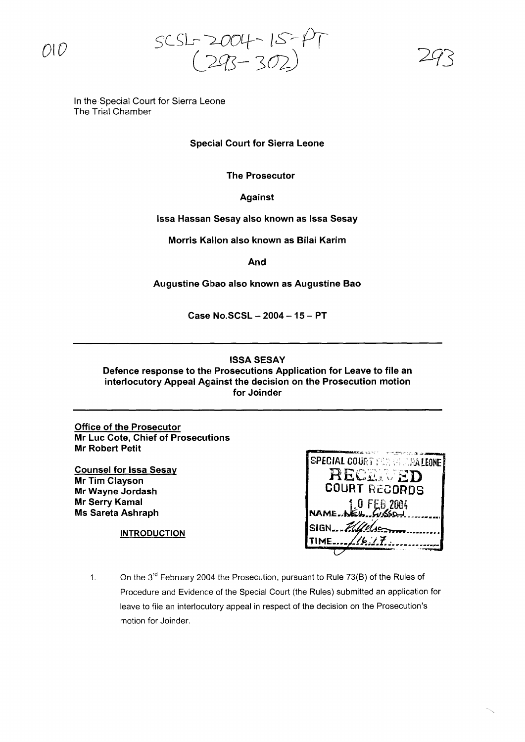$O$ l $U$ 





In the Special Court for Sierra Leone The Trial Chamber

# **Special Court for Sierra Leone**

**The Prosecutor** 

### **Against**

#### Issa Hassan Sesay also known as Issa Sesay

Morris Kallon also known as Bilai Karim

And

Augustine Gbao also known as Augustine Bao

Case No.SCSL - 2004 - 15 - PT

#### **ISSA SESAY**

Defence response to the Prosecutions Application for Leave to file an interlocutory Appeal Against the decision on the Prosecution motion for Joinder

**Office of the Prosecutor** Mr Luc Cote, Chief of Prosecutions **Mr Robert Petit** 

**Counsel for Issa Sesay** Mr Tim Clayson Mr Wayne Jordash **Mr Serry Kamal** Ms Sareta Ashraph

#### **INTRODUCTION**

| <b>DE SE SANTO DE LA PRODUCTIVA DE LA PRODUCTIVA DE LA PRODUCTIVA DE LA PRODUCTIVA DE LA PRODUCTIVA DE LA PRODUCT</b> |  |  |  |  |
|-----------------------------------------------------------------------------------------------------------------------|--|--|--|--|
| I SPECIAL COURT POR GREALEONE I                                                                                       |  |  |  |  |
| <b>RECENED</b>                                                                                                        |  |  |  |  |
| <b>COURT RECORDS</b>                                                                                                  |  |  |  |  |
|                                                                                                                       |  |  |  |  |
| NAME $0$ FEB 2004                                                                                                     |  |  |  |  |
| SSBNHllds                                                                                                             |  |  |  |  |
| $TIME_{11}/16.17$ .                                                                                                   |  |  |  |  |
|                                                                                                                       |  |  |  |  |

On the 3<sup>rd</sup> February 2004 the Prosecution, pursuant to Rule 73(B) of the Rules of  $\mathbf{1}$ Procedure and Evidence of the Special Court (the Rules) submitted an application for leave to file an interlocutory appeal in respect of the decision on the Prosecution's motion for Joinder.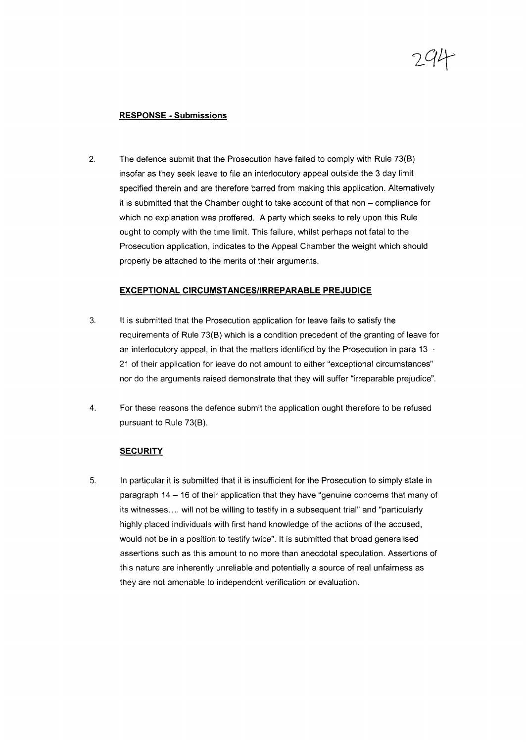

#### **RESPONSE - Submissions**

2. The defence submit that the Prosecution have failed to comply with Rule 73(B) insofar as they seek leave to file an interlocutory appeal outside the 3 day limit specified therein and are therefore barred from making this application. Alternatively it is submitted that the Chamber ought to take account of that non - compliance for which no explanation was proffered. A party which seeks to rely upon this Rule ought to comply with the time limit. This failure, whilst perhaps not fatal to the Prosecution application, indicates to the Appeal Chamber the weight which should properly be attached to the merits of their arguments.

#### **EXCEPTIONAL CIRCUMSTANCES/IRREPARABLE PREJUDICE**

- 3. It is submitted that the Prosecution application for leave fails to satisfy the requirements of Rule 73(B) which is a condition precedent of the granting of leave for an interlocutory appeal, in that the matters identified by the Prosecution in para  $13 -$ 21 of their application for leave do not amount to either "exceptional circumstances" nor do the arguments raised demonstrate that they will suffer "irreparable prejudice".
- 4. For these reasons the defence submit the application ought therefore to be refused pursuant to Rule 73(B).

#### **SECURITY**

5. In particular it is submitted that it is insufficient for the Prosecution to simply state in paragraph 14 - 16 of their application that they have "genuine concerns that many of its witnesses.... will not be willing to testify in a subsequent trial" and "particularly highly placed individuals with first hand knowledge of the actions of the accused, would not be in a position to testify twice". It is submitted that broad generalised assertions such as this amount to no more than anecdotal speculation. Assertions of this nature are inherently unreliable and potentially a source of real unfairness as they are not amenable to independent verification or evaluation.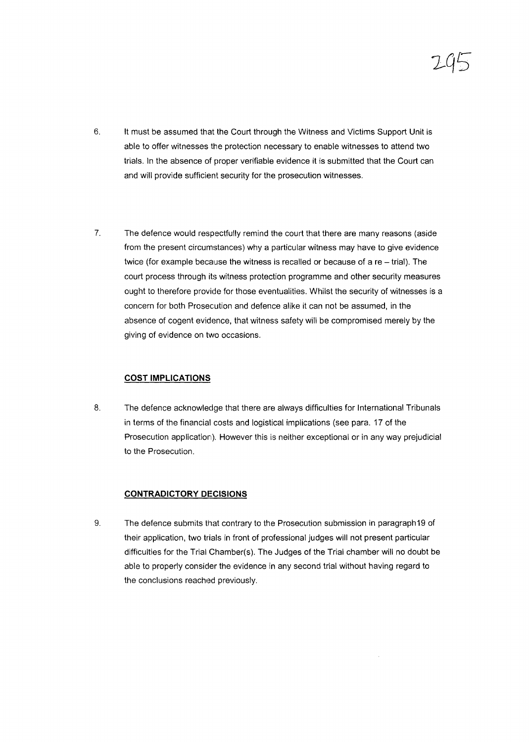- 6. It must be assumed that the Court through the Witness and Victims Support Unit is able to offer witnesses the protection necessary to enable witnesses to attend two trials. In the absence of proper verifiable evidence it is submitted that the Court can and will provide sufficient security for the prosecution witnesses.
- 7. The defence would respectfully remind the court that there are many reasons (aside from the present circumstances) why a particular witness may have to give evidence twice (for example because the witness is recalled or because of a  $re - \text{trial}$ ). The court process through its witness protection programme and other security measures ought to therefore provide for those eventualities. Whilst the security of witnesses is a concern for both Prosecution and defence alike it can not be assumed, in the absence of cogent evidence, that witness safety will be compromised merely by the giving of evidence on two occasions.

## **COST IMPLICATIONS**

8. The defence acknowledge that there are always difficulties for International Tribunals in terms of the financial costs and logistical implications (see para. 17 of the Prosecution application). However this is neither exceptional or in any way prejudicial to the Prosecution.

## **CONTRADICTORY Df::CISIONS**

9. The defence submits that contrary to the Prosecution submission in paragraph 19 of their application, two trials in front of professional judges will not present particular difficulties for the Trial Chamber(s). The Judges of the Trial chamber will no doubt be able to properly consider the evidence in any second trial without having regard to the conclusions reached previously.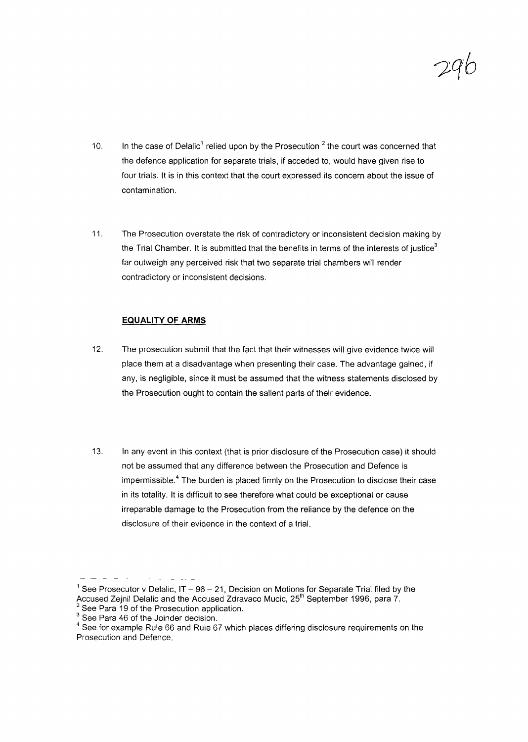

- 10. In the case of Delalic<sup>1</sup> relied upon by the Prosecution  $2$  the court was concerned that the defence application for separate trials, if acceded to, would have given rise to four trials. It is in this context that the court expressed its concern about the issue of contamination.
- 11. The Prosecution overstate the risk of contradictory or inconsistent decision making by the Trial Chamber. It is submitted that the benefits in terms of the interests of justice<sup>3</sup> far outweigh any perceived risk that two separate trial chambers will render contradictory or inconsistent decisions.

#### **EQUALITY OF ARMS**

- 12. The prosecution submit that the fact that their witnesses will give evidence twice will place them at a disadvantage when presenting their case. The advantage gained, if any, is negligible, since it must be assumed that the witness statements disclosed by the Prosecution ought to contain the salient parts of their evidence.
- 13. In any event in this context (that is prior disclosure of the Prosecution case) it should not be assumed that any difference between the Prosecution and Defence is impermissible. <sup>4</sup> The burden is placed firmly on the Prosecution to disclose their case in its totality. It is difficult to see therefore what could be exceptional or cause irreparable damage to the Prosecution from the reliance by the defence on the disclosure of their evidence in the context of a trial.

<sup>&</sup>lt;sup>1</sup> See Prosecutor v Delalic,  $IT - 96 - 21$ , Decision on Motions for Separate Trial filed by the Accused Zejnil Delalic and the Accused Zdravaco Mucic, 25<sup>th</sup> September 1996, para 7.

<sup>&</sup>lt;sup>2</sup> See Para 19 of the Prosecution application.

<sup>&</sup>lt;sup>3</sup> See Para 46 of the Joinder decision.

<sup>&</sup>lt;sup>4</sup> See for example Rule 66 and Rule 67 which places differing disclosure requirements on the Prosecution and Defence.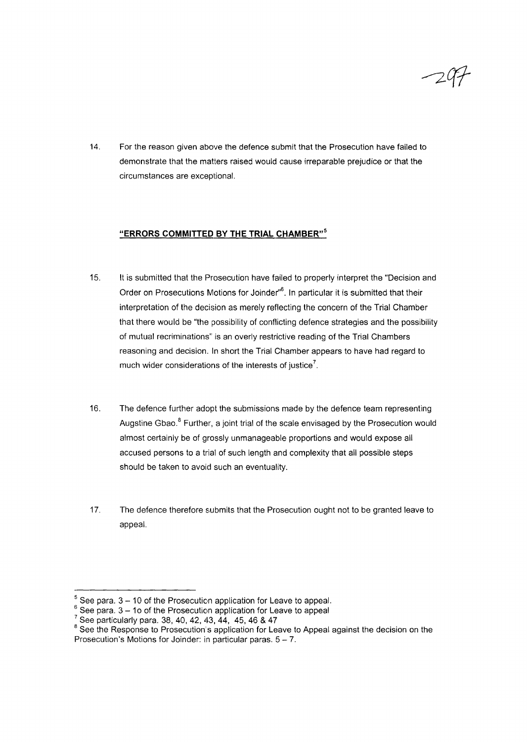$-241$ 

14. For the reason given above the defence submit that the Prosecution have failed to demonstrate that the matters raised would cause irreparable prejudice or that the circumstances are exceptional.

#### **"ERRORS COMMITTED BY THE TRIAL CHAMBER"s**

- 15. It is submitted that the Prosecution have failed to properly interpret the "Decision and Order on Prosecutions Motions for Joinder"<sup>6</sup>. In particular it is submitted that their interpretation of the decision as merely reflecting the concern of the Trial Chamber that there would be "the possibility of conflicting defence strategies and the possibility of mutual recriminations" is an overly restrictive reading of the Trial Chambers reasoning and decision. In short the Trial Chamber appears to have had regard to much wider considerations of the interests of justice $^7\!$
- 16. The defence further adopt the submissions made by the defence team representing Augstine Gbao.<sup>8</sup> Further, a joint trial of the scale envisaged by the Prosecution would almost certainly be of grossly unmanageable proportions and would expose all accused persons to a trial of such length and complexity that all possible steps should be taken to avoid such an eventuality.
- 17. The defence therefore submits that the Prosecution ought not to be granted leave to appeal.

 $5$  See para.  $3 - 10$  of the Prosecution application for Leave to appeal.

 $\degree$  See para.  $3 - 10$  of the Prosecution application for Leave to appeal

 $7$  See particularly para. 38, 40, 42, 43, 44, 45, 46 & 47

<sup>&</sup>lt;sup>8</sup> See the Response to Prosecution's application for Leave to Appeal against the decision on the Prosecution's Motions for Joinder: in particular paras.  $5 - 7$ .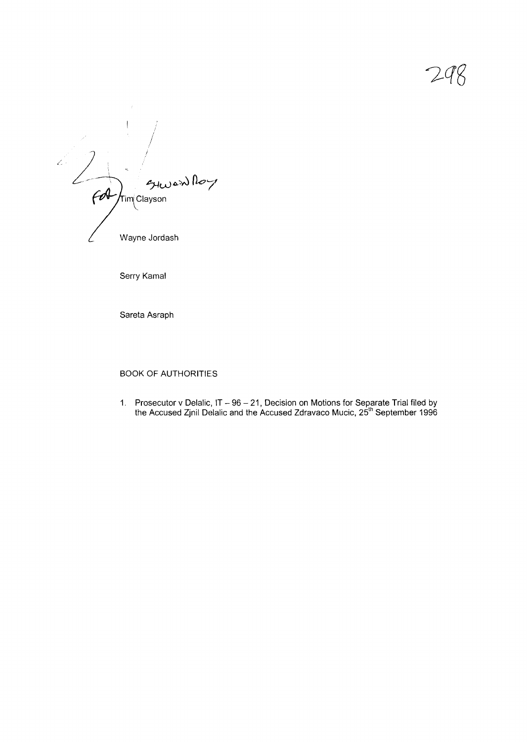

Serry Kamal

Sareta Asraph

**BOOK OF AUTHORITIES** 

1. Prosecutor v Delalic, IT -  $96 - 21$ , Decision on Motions for Separate Trial filed by the Accused Zjnil Delalic and the Accused Zdravaco Mucic,  $25^{\text{th}}$  September 1996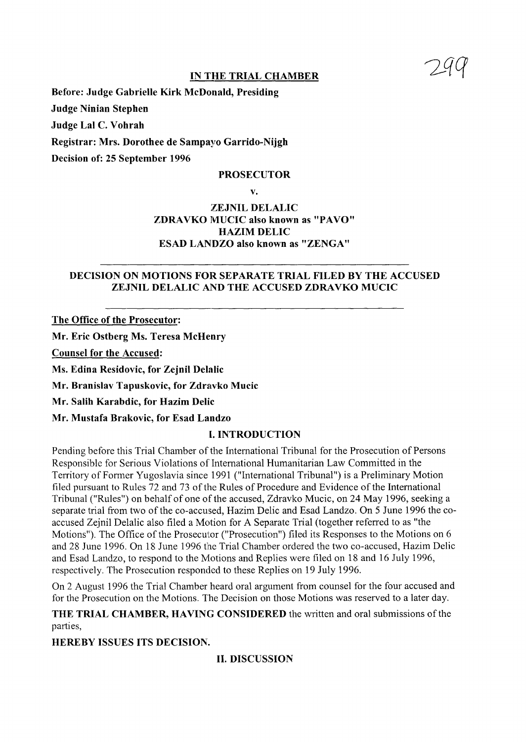# **IN THE TRIAL CHAMBER**

**Before: Judge Gabrielle Kirk McDonald, Presiding**

**Judge Ninian Stephen**

**Judge Lal C. Vohrah**

**Registrar: Mrs. Dorothee de Sampayo Garrido-Nijgh**

**Decision of: 25 September 1996**

#### **PROSECUTOR**

**v.**

# **ZEJNIL DELALIC ZDRAVKO MUCIC also known as "PAVO" HAZIMDELIC ESAD LANDZO also known as "ZENGA"**

# **DECISION ON MOTIONS FOR SEPARATE TRIAL FILED BY THE ACCUSED ZEJNIL DELALIC AND THE ACCUSED ZDRAVKO MUCIC**

**The Office of the Prosecutor:**

**Mr. Eric Ostberg Ms. Teresa McHenry**

**Counsel for the Accused:**

**Ms. Edina Residovic, for Zejnil Delalic**

**Mr. Branislav Tapuskovic, for Zdravko Mucic**

**Mr. Salih Karabdic, for Hazim Delic**

**Mr. Mustafa Brakovic, for Esad Landzo**

# **L INTRODUCTION**

Pending before this Trial Chamber of the International Tribunal for the Prosecution of Persons Responsible for Serious Violations of International Humanitarian Law Committed in the Territory of Former Yugoslavia since 1991 ("International Tribunal") is a Preliminary Motion filed pursuant to Rules 72 and 73 of the Rules of Procedure and Evidence of the International Tribunal ("Rules") on behalf of one of the accused, Zdravko Mucic, on 24 May 1996, seeking a separate trial from two of the co-accused, Hazim Delic and Esad Landzo. On 5 June 1996 the coaccused Zejnil Delalic also filed a Motion for A Separate Trial (together referred to as "the Motions"). The Office of the Prosecutor ("Prosecution") filed its Responses to the Motions on 6 and 28 June 1996. On 18 June 1996 the Trial Chamber ordered the two co-accused, Hazim Delic and Esad Landzo, to respond to the Motions and Replies were filed on 18 and 16 July 1996, respectively. The Prosecution responded to these Replies on 19 July 1996.

On 2 August 1996 the Trial Chamber heard oral argument from counsel for the four accused and for the Prosecution on the Motions. The Decision on those Motions was reserved to a later day.

**THE TRIAL CHAMBER, HAVING CONSIDERED** the written and oral submissions ofthe parties,

**HEREBY ISSUES ITS DECISION.**

# **II. DISCUSSION**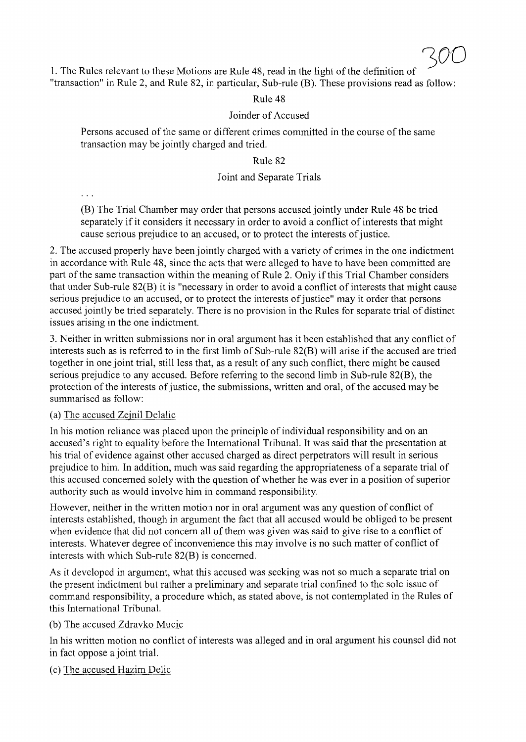1. The Rules relevant to these Motions are Rule 48, read in the light of the definition of "transaction" in Rule 2, and Rule 82, in particular, Sub-rule (B). These provisions read as follow:

# Rule 48

# Joinder of Accused

Persons accused of the same or different crimes committed in the course of the same transaction may be jointly charged and tried.

# Rule 82

# Joint and Separate Trials

(B) The Trial Chamber may order that persons accused jointly under Rule 48 be tried separately if it considers it necessary in order to avoid a conflict of interests that might cause serious prejudice to an accused, or to protect the interests of justice.

2. The accused properly have been jointly charged with a variety of crimes in the one indictment in accordance with Rule 48, since the acts that were alleged to have to have been committed are part of the same transaction within the meaning of Rule 2. Only if this Trial Chamber considers that under Sub-rule  $82(B)$  it is "necessary in order to avoid a conflict of interests that might cause serious prejudice to an accused, or to protect the interests of justice" may it order that persons accused jointly be tried separately. There is no provision in the Rules for separate trial of distinct issues arising in the one indictment.

3. Neither in written submissions nor in oral argument has it been established that any conflict of interests such as is referred to in the first limb of Sub-rule 82(B) will arise if the accused are tried together in one joint trial, still less that, as a result of any such conflict, there might be caused serious prejudice to any accused. Before referring to the second limb in Sub-rule 82(B), the protection of the interests of justice, the submissions, written and oral, of the accused may be summarised as follow:

# (a) The accused Zejnil Delalic

 $\ddots$ 

In his motion reliance was placed upon the principle of individual responsibility and on an accused's right to equality before the International Tribunal. It was said that the presentation at his trial of evidence against other accused charged as direct perpetrators will result in serious prejudice to him. In addition, much was said regarding the appropriateness of a separate trial of this accused concerned solely with the question of whether he was ever in a position of superior authority such as would involve him in command responsibility.

However, neither in the written motion nor in oral argument was any question of conflict of interests established, though in argument the fact that all accused would be obliged to be present when evidence that did not concern all of them was given was said to give rise to a conflict of interests. Whatever degree of inconvenience this may involve is no such matter of conflict of interests with which Sub-rule 82(B) is concerned.

As it developed in argument, what this accused was seeking was not so much a separate trial on the present indictment but rather a preliminary and separate trial confined to the sole issue of command responsibility, a procedure which, as stated above, is not contemplated in the Rules of this International Tribunal.

# (b) The accused Zdravko Mucic

In his written motion no conflict of interests was alleged and in oral argument his counsel did not in fact oppose a joint trial.

# (c) The accused Hazim Delic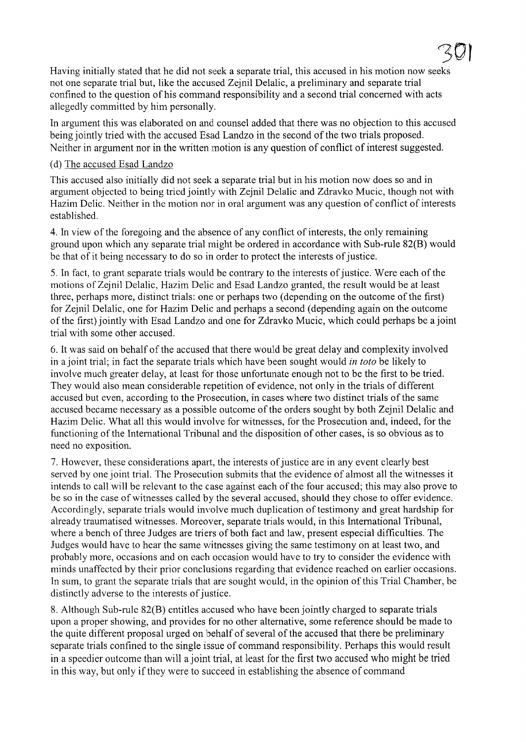Having initially stated that he did not seek a separate trial, this accused in his motion now seeks not one separate trial but, like the accused Zejnil Delalic, a preliminary and separate trial confined to the question of his command responsibility and a second trial concerned with acts allegedly committed by him personally.

In argument this was elaborated on and counsel added that there was no objection to this accused being jointly tried with the accused Esad Landzo in the second of the two trials proposed. Neither in argument nor in the written motion is any question of conflict of interest suggested.

# (d) The accused Esad Landzo

This accused also initially did not seek a separate trial but in his motion now does so and in argument objected to being tried jointly with Zejnil Delalic and Zdravko Mucic, though not with Hazim Delic. Neither in the motion nor in oral argument was any question of conflict of interests established.

4. In view of the foregoing and the absence of any conflict of interests, the only remaining ground upon which any separate trial might be ordered in accordance with Sub-rule 82(B) would be that of it being necessary to do so in order to protect the interests of justice.

5. In fact, to grant separate trials would be contrary to the interests of justice. Were each of the motions of Zejnil Delalic, Hazim Delie and Esad Landzo granted, the result would be at least three, perhaps more, distinct trials: one or perhaps two (depending on the outcome ofthe first) for Zejnil Delalic, one for Hazim Delie and perhaps a second (depending again on the outcome ofthe first) jointly with Esad Landzo and one for Zdravko Mucic, which could perhaps be a joint trial with some other accused.

6. It was said on behalf of the accused that there would be great delay and complexity involved in a joint trial; in fact the separate trials which have been sought would *in toto* be likely to involve much greater delay, at least for those unfortunate enough not to be the first to be tried. They would also mean considerable repetition of evidence, not only in the trials of different accused but even, according to the Prosecution, in cases where two distinct trials ofthe same accused became necessary as a possible outcome of the orders sought by both Zejnil Delalic and Hazim Delic. What all this would involve for witnesses, for the Prosecution and, indeed, for the functioning ofthe International Tribunal and the disposition of other cases, is so obvious as to need no exposition.

7. However, these considerations apart, the interests of justice are in any event clearly best served by one joint trial. The Prosecution submits that the evidence of almost all the witnesses it intends to call will be relevant to the case against each of the four accused; this may also prove to be so in the case of witnesses called by the several accused, should they chose to offer evidence. Accordingly, separate trials would involve much duplication of testimony and great hardship for already traumatised witnesses. Moreover, separate trials would, in this International Tribunal, where a bench of three Judges are triers of both fact and law, present especial difficulties. The Judges would have to hear the same witnesses giving the same testimony on at least two, and probably more, occasions and on each occasion would have to try to consider the evidence with minds unaffected by their prior conclusions regarding that evidence reached on earlier occasions. In sum, to grant the separate trials that are sought would, in the opinion of this Trial Chamber, be distinctly adverse to the interests of justice.

8. Although Sub-rule 82(B) entitles accused who have been jointly charged to separate trials upon a proper showing, and provides for no other alternative, some reference should be made to the quite different proposal urged on behalf of several of the accused that there be preliminary separate trials confined to the single issue of command responsibility. Perhaps this would result in a speedier outcome than will a joint trial, at least for the first two accused who might be tried in this way, but only if they were to succeed in establishing the absence of command